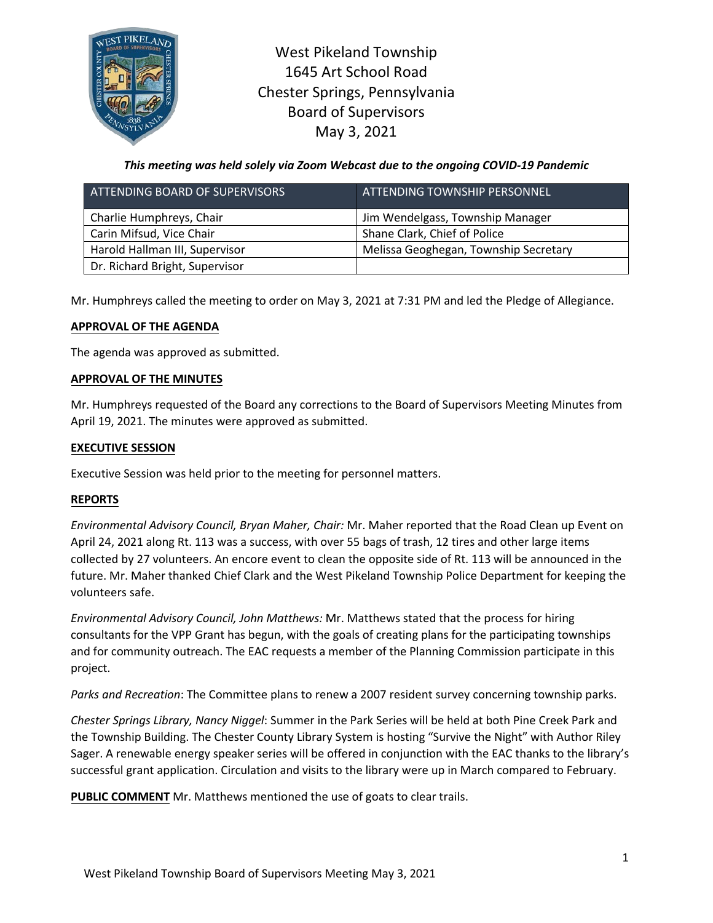

West Pikeland Township 1645 Art School Road Chester Springs, Pennsylvania Board of Supervisors May 3, 2021

*This meeting was held solely via Zoom Webcast due to the ongoing COVID-19 Pandemic*

| ATTENDING BOARD OF SUPERVISORS | ATTENDING TOWNSHIP PERSONNEL,         |
|--------------------------------|---------------------------------------|
| Charlie Humphreys, Chair       | Jim Wendelgass, Township Manager      |
| Carin Mifsud, Vice Chair       | Shane Clark, Chief of Police          |
| Harold Hallman III, Supervisor | Melissa Geoghegan, Township Secretary |
| Dr. Richard Bright, Supervisor |                                       |

Mr. Humphreys called the meeting to order on May 3, 2021 at 7:31 PM and led the Pledge of Allegiance.

### **APPROVAL OF THE AGENDA**

The agenda was approved as submitted.

### **APPROVAL OF THE MINUTES**

Mr. Humphreys requested of the Board any corrections to the Board of Supervisors Meeting Minutes from April 19, 2021. The minutes were approved as submitted.

## **EXECUTIVE SESSION**

Executive Session was held prior to the meeting for personnel matters.

# **REPORTS**

*Environmental Advisory Council, Bryan Maher, Chair:* Mr. Maher reported that the Road Clean up Event on April 24, 2021 along Rt. 113 was a success, with over 55 bags of trash, 12 tires and other large items collected by 27 volunteers. An encore event to clean the opposite side of Rt. 113 will be announced in the future. Mr. Maher thanked Chief Clark and the West Pikeland Township Police Department for keeping the volunteers safe.

*Environmental Advisory Council, John Matthews:* Mr. Matthews stated that the process for hiring consultants for the VPP Grant has begun, with the goals of creating plans for the participating townships and for community outreach. The EAC requests a member of the Planning Commission participate in this project.

*Parks and Recreation*: The Committee plans to renew a 2007 resident survey concerning township parks.

*Chester Springs Library, Nancy Niggel*: Summer in the Park Series will be held at both Pine Creek Park and the Township Building. The Chester County Library System is hosting "Survive the Night" with Author Riley Sager. A renewable energy speaker series will be offered in conjunction with the EAC thanks to the library's successful grant application. Circulation and visits to the library were up in March compared to February.

**PUBLIC COMMENT** Mr. Matthews mentioned the use of goats to clear trails.